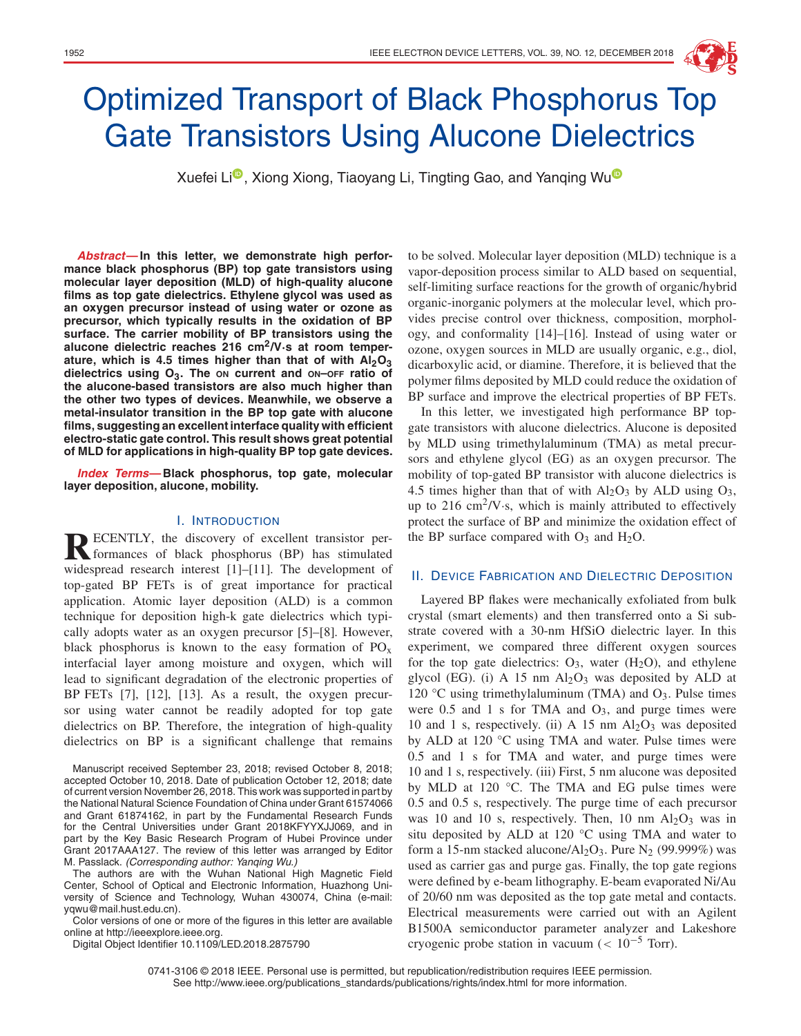

# Optimized Transport of Black Phosphorus Top Gate Transistors Using Alucone Dielectrics

Xuefei Li<sup>n</sup>, Xiong Xiong, Tiaoyang Li, Tingting Gao, and Yanging Wu<sup>n</sup>

**Abstract—In this letter, we demonstrate high performance black phosphorus (BP) top gate transistors using molecular layer deposition (MLD) of high-quality alucone films as top gate dielectrics. Ethylene glycol was used as an oxygen precursor instead of using water or ozone as precursor, which typically results in the oxidation of BP surface. The carrier mobility of BP transistors using the alucone dielectric reaches 216 cm2/V·s at room temper**ature, which is 4.5 times higher than that of with Al<sub>2</sub>O<sub>3</sub> **dielectrics using O3. The ON current and ON–OFF ratio of the alucone-based transistors are also much higher than the other two types of devices. Meanwhile, we observe a metal-insulator transition in the BP top gate with alucone films, suggesting an excellent interface quality with efficient electro-static gate control. This result shows great potential of MLD for applications in high-quality BP top gate devices.**

**Index Terms—Black phosphorus, top gate, molecular layer deposition, alucone, mobility.**

## I. INTRODUCTION

**RECENTLY**, the discovery of excellent transistor per-<br>formances of black phosphorus (BP) has stimulated widespread research interest [1]–[11]. The development of top-gated BP FETs is of great importance for practical application. Atomic layer deposition (ALD) is a common technique for deposition high-k gate dielectrics which typically adopts water as an oxygen precursor [5]–[8]. However, black phosphorus is known to the easy formation of  $PO_x$ interfacial layer among moisture and oxygen, which will lead to significant degradation of the electronic properties of BP FETs [7], [12], [13]. As a result, the oxygen precursor using water cannot be readily adopted for top gate dielectrics on BP. Therefore, the integration of high-quality dielectrics on BP is a significant challenge that remains

Manuscript received September 23, 2018; revised October 8, 2018; accepted October 10, 2018. Date of publication October 12, 2018; date of current version November 26, 2018. This work was supported in part by the National Natural Science Foundation of China under Grant 61574066 and Grant 61874162, in part by the Fundamental Research Funds for the Central Universities under Grant 2018KFYYXJJ069, and in part by the Key Basic Research Program of Hubei Province under Grant 2017AAA127. The review of this letter was arranged by Editor M. Passlack. (Corresponding author: Yanqing Wu.)

The authors are with the Wuhan National High Magnetic Field Center, School of Optical and Electronic Information, Huazhong University of Science and Technology, Wuhan 430074, China (e-mail: yqwu@mail.hust.edu.cn).

Color versions of one or more of the figures in this letter are available online at http://ieeexplore.ieee.org.

Digital Object Identifier 10.1109/LED.2018.2875790

to be solved. Molecular layer deposition (MLD) technique is a vapor-deposition process similar to ALD based on sequential, self-limiting surface reactions for the growth of organic/hybrid organic-inorganic polymers at the molecular level, which provides precise control over thickness, composition, morphology, and conformality [14]–[16]. Instead of using water or ozone, oxygen sources in MLD are usually organic, e.g., diol, dicarboxylic acid, or diamine. Therefore, it is believed that the polymer films deposited by MLD could reduce the oxidation of BP surface and improve the electrical properties of BP FETs.

In this letter, we investigated high performance BP topgate transistors with alucone dielectrics. Alucone is deposited by MLD using trimethylaluminum (TMA) as metal precursors and ethylene glycol (EG) as an oxygen precursor. The mobility of top-gated BP transistor with alucone dielectrics is 4.5 times higher than that of with  $Al_2O_3$  by ALD using  $O_3$ , up to  $216 \text{ cm}^2/\text{V}$ . s, which is mainly attributed to effectively protect the surface of BP and minimize the oxidation effect of the BP surface compared with  $O_3$  and  $H_2O$ .

### II. DEVICE FABRICATION AND DIELECTRIC DEPOSITION

Layered BP flakes were mechanically exfoliated from bulk crystal (smart elements) and then transferred onto a Si substrate covered with a 30-nm HfSiO dielectric layer. In this experiment, we compared three different oxygen sources for the top gate dielectrics:  $O_3$ , water  $(H_2O)$ , and ethylene glycol (EG). (i) A 15 nm  $Al_2O_3$  was deposited by ALD at 120 °C using trimethylaluminum (TMA) and  $O_3$ . Pulse times were  $0.5$  and 1 s for TMA and  $O<sub>3</sub>$ , and purge times were 10 and 1 s, respectively. (ii) A 15 nm  $Al_2O_3$  was deposited by ALD at 120 °C using TMA and water. Pulse times were 0.5 and 1 s for TMA and water, and purge times were 10 and 1 s, respectively. (iii) First, 5 nm alucone was deposited by MLD at 120 °C. The TMA and EG pulse times were 0.5 and 0.5 s, respectively. The purge time of each precursor was 10 and 10 s, respectively. Then, 10 nm  $Al_2O_3$  was in situ deposited by ALD at 120 °C using TMA and water to form a 15-nm stacked alucone/ $Al_2O_3$ . Pure N<sub>2</sub> (99.999%) was used as carrier gas and purge gas. Finally, the top gate regions were defined by e-beam lithography. E-beam evaporated Ni/Au of 20/60 nm was deposited as the top gate metal and contacts. Electrical measurements were carried out with an Agilent B1500A semiconductor parameter analyzer and Lakeshore cryogenic probe station in vacuum ( $< 10^{-5}$  Torr).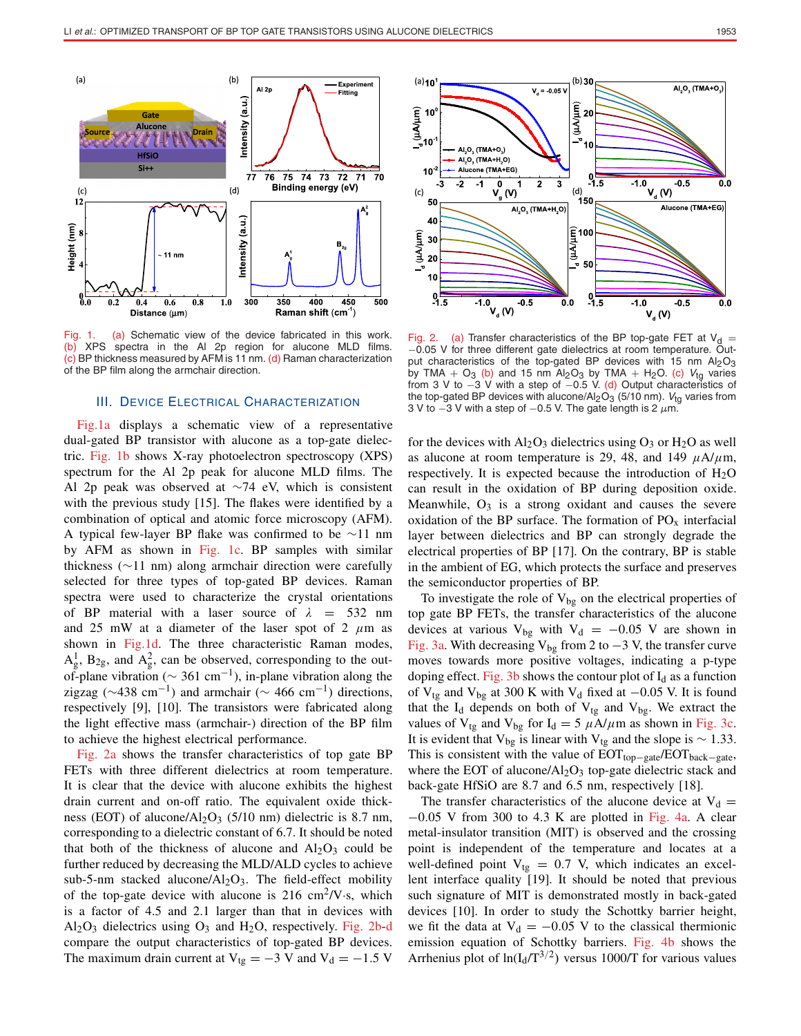

Fig. 1. (a) Schematic view of the device fabricated in this work. (b) XPS spectra in the Al 2p region for alucone MLD films.  $(c)$  BP thickness measured by AFM is 11 nm. (d) Raman characterization of the BP film along the armchair direction.

### III. DEVICE ELECTRICAL CHARACTERIZATION

Fig.1a displays a schematic view of a representative dual-gated BP transistor with alucone as a top-gate dielectric. Fig. 1b shows X-ray photoelectron spectroscopy (XPS) spectrum for the Al 2p peak for alucone MLD films. The Al 2p peak was observed at ∼74 eV, which is consistent with the previous study [15]. The flakes were identified by a combination of optical and atomic force microscopy (AFM). A typical few-layer BP flake was confirmed to be ∼11 nm by AFM as shown in Fig. 1c. BP samples with similar thickness (∼11 nm) along armchair direction were carefully selected for three types of top-gated BP devices. Raman spectra were used to characterize the crystal orientations of BP material with a laser source of  $\lambda$  = 532 nm and 25 mW at a diameter of the laser spot of 2  $\mu$ m as shown in Fig.1d. The three characteristic Raman modes,  $A_g^1$ ,  $B_{2g}$ , and  $A_g^2$ , can be observed, corresponding to the outof-plane vibration ( $\sim$  361 cm<sup>-1</sup>), in-plane vibration along the zigzag ( $\sim$ 438 cm<sup>-1</sup>) and armchair ( $\sim$  466 cm<sup>-1</sup>) directions, respectively [9], [10]. The transistors were fabricated along the light effective mass (armchair-) direction of the BP film to achieve the highest electrical performance.

Fig. 2a shows the transfer characteristics of top gate BP FETs with three different dielectrics at room temperature. It is clear that the device with alucone exhibits the highest drain current and on-off ratio. The equivalent oxide thickness (EOT) of alucone/ $Al_2O_3$  (5/10 nm) dielectric is 8.7 nm, corresponding to a dielectric constant of 6.7. It should be noted that both of the thickness of alucone and  $Al_2O_3$  could be further reduced by decreasing the MLD/ALD cycles to achieve sub-5-nm stacked alucone/ $Al_2O_3$ . The field-effect mobility of the top-gate device with alucone is  $216 \text{ cm}^2/\text{V} \cdot \text{s}$ , which is a factor of 4.5 and 2.1 larger than that in devices with  $Al_2O_3$  dielectrics using  $O_3$  and  $H_2O$ , respectively. Fig. 2b-d compare the output characteristics of top-gated BP devices. The maximum drain current at  $V_{tg} = -3$  V and  $V_d = -1.5$  V



Fig. 2. (a) Transfer characteristics of the BP top-gate FET at  $V_d$  = −0.05 V for three different gate dielectrics at room temperature. Output characteristics of the top-gated BP devices with 15 nm  $Al_2O_3$ by TMA + O<sub>3</sub> (b) and 15 nm Al<sub>2</sub>O<sub>3</sub> by TMA + H<sub>2</sub>O. (c) V<sub>tg</sub> varies from 3 V to  $-3$  V with a step of  $-0.5$  V. (d) Output characteristics of the top-gated BP devices with alucone/Al<sub>2</sub>O<sub>3</sub> (5/10 nm). Vtg varies from 3 V to  $-3$  V with a step of  $-0.5$  V. The gate length is 2  $\mu$ m.

for the devices with  $Al_2O_3$  dielectrics using  $O_3$  or  $H_2O$  as well as alucone at room temperature is 29, 48, and 149  $\mu$ A/ $\mu$ m, respectively. It is expected because the introduction of  $H_2O$ can result in the oxidation of BP during deposition oxide. Meanwhile,  $O_3$  is a strong oxidant and causes the severe oxidation of the BP surface. The formation of  $PO_x$  interfacial layer between dielectrics and BP can strongly degrade the electrical properties of BP [17]. On the contrary, BP is stable in the ambient of EG, which protects the surface and preserves the semiconductor properties of BP.

To investigate the role of  $V_{bg}$  on the electrical properties of top gate BP FETs, the transfer characteristics of the alucone devices at various V<sub>bg</sub> with V<sub>d</sub> =  $-0.05$  V are shown in Fig. 3a. With decreasing  $V_{bg}$  from 2 to  $-3$  V, the transfer curve moves towards more positive voltages, indicating a p-type doping effect. Fig. 3b shows the contour plot of  $I_d$  as a function of V<sub>tg</sub> and V<sub>bg</sub> at 300 K with V<sub>d</sub> fixed at  $-0.05$  V. It is found that the  $I_d$  depends on both of  $V_{tg}$  and  $V_{bg}$ . We extract the values of  $V_{tg}$  and  $V_{bg}$  for  $I_d = 5 \mu A/\mu m$  as shown in Fig. 3c. It is evident that V<sub>bg</sub> is linear with V<sub>tg</sub> and the slope is  $\sim$  1.33. This is consistent with the value of  $EOT<sub>top-gate</sub>/EOT<sub>back-gate</sub>$ , where the EOT of alucone/ $Al_2O_3$  top-gate dielectric stack and back-gate HfSiO are 8.7 and 6.5 nm, respectively [18].

The transfer characteristics of the alucone device at  $V_d =$  $-0.05$  V from 300 to 4.3 K are plotted in Fig. 4a. A clear metal-insulator transition (MIT) is observed and the crossing point is independent of the temperature and locates at a well-defined point  $V_{tg} = 0.7$  V, which indicates an excellent interface quality [19]. It should be noted that previous such signature of MIT is demonstrated mostly in back-gated devices [10]. In order to study the Schottky barrier height, we fit the data at  $V_d = -0.05$  V to the classical thermionic emission equation of Schottky barriers. Fig. 4b shows the Arrhenius plot of  $ln(I_d/T^{3/2})$  versus 1000/T for various values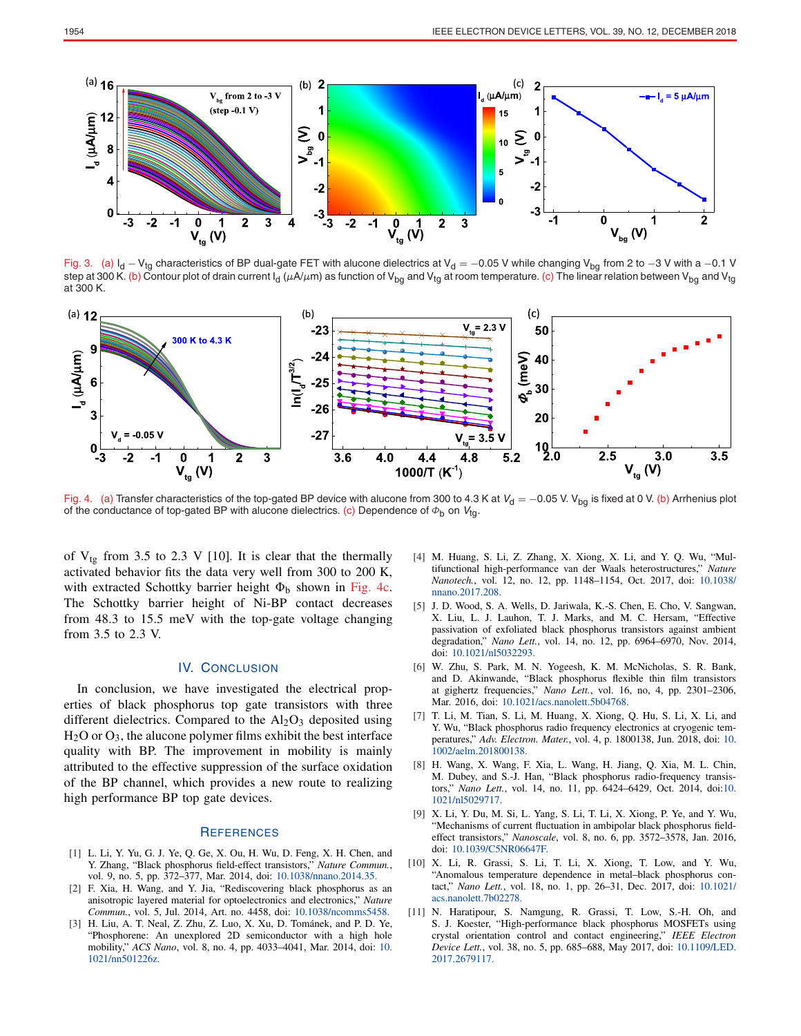

Fig. 3. (a)  $I_d - V_{tg}$  characteristics of BP dual-gate FET with alucone dielectrics at V<sub>d</sub> = −0.05 V while changing V<sub>bg</sub> from 2 to −3 V with a −0.1 V step at 300 K. (b) Contour plot of drain current I<sub>d</sub> ( $\mu$ A/ $\mu$ m) as function of V<sub>bg</sub> and V<sub>tg</sub> at room temperature. (c) The linear relation between V<sub>bg</sub> and V<sub>tg</sub> at 300 K.



Fig. 4. (a) Transfer characteristics of the top-gated BP device with alucone from 300 to 4.3 K at  $V_d = -0.05$  V. V<sub>bg</sub> is fixed at 0 V. (b) Arrhenius plot of the conductance of top-gated BP with alucone dielectrics. (c) Dependence of  $\Phi_{\rm b}$  on  $V_{\rm tq}$ .

of  $V_{tg}$  from 3.5 to 2.3 V [10]. It is clear that the thermally activated behavior fits the data very well from 300 to 200 K, with extracted Schottky barrier height  $\Phi_b$  shown in Fig. 4c. The Schottky barrier height of Ni-BP contact decreases from 48.3 to 15.5 meV with the top-gate voltage changing from 3.5 to 2.3 V.

## IV. CONCLUSION

In conclusion, we have investigated the electrical properties of black phosphorus top gate transistors with three different dielectrics. Compared to the  $Al_2O_3$  deposited using  $H<sub>2</sub>O$  or  $O<sub>3</sub>$ , the alucone polymer films exhibit the best interface quality with BP. The improvement in mobility is mainly attributed to the effective suppression of the surface oxidation of the BP channel, which provides a new route to realizing high performance BP top gate devices.

### **REFERENCES**

- [1] L. Li, Y. Yu, G. J. Ye, Q. Ge, X. Ou, H. Wu, D. Feng, X. H. Chen, and Y. Zhang, "Black phosphorus field-effect transistors," *Nature Commun.*, vol. 9, no. 5, pp. 372–377, Mar. 2014, doi: [10.1038/nnano.2014.35](http://dx.doi.org/10.1038/nnano.2014.35).
- [2] F. Xia, H. Wang, and Y. Jia, "Rediscovering black phosphorus as an anisotropic layered material for optoelectronics and electronics," *Nature Commun.*, vol. 5, Jul. 2014, Art. no. 4458, doi: [10.1038/ncomms5458](http://dx.doi.org/10.1038/ncomms5458).
- [3] H. Liu, A. T. Neal, Z. Zhu, Z. Luo, X. Xu, D. Tománek, and P. D. Ye, "Phosphorene: An unexplored 2D semiconductor with a high hole mobility," *ACS Nano*, vol. 8, no. 4, pp. 4033–4041, Mar. 2014, doi: [10.](http://dx.doi.org/10.1021/nn501226z) [1021/nn501226z](http://dx.doi.org/10.1021/nn501226z).
- [4] M. Huang, S. Li, Z. Zhang, X. Xiong, X. Li, and Y. O. Wu, "Multifunctional high-performance van der Waals heterostructures," *Nature Nanotech.*, vol. 12, no. 12, pp. 1148–1154, Oct. 2017, doi: [10.1038/](http://dx.doi.org/10.1038/nnano.2017.208) [nnano.2017.208](http://dx.doi.org/10.1038/nnano.2017.208).
- [5] J. D. Wood, S. A. Wells, D. Jariwala, K.-S. Chen, E. Cho, V. Sangwan, X. Liu, L. J. Lauhon, T. J. Marks, and M. C. Hersam, "Effective passivation of exfoliated black phosphorus transistors against ambient degradation," *Nano Lett.*, vol. 14, no. 12, pp. 6964–6970, Nov. 2014, doi: [10.1021/nl5032293](http://dx.doi.org/10.1021/nl5032293).
- [6] W. Zhu, S. Park, M. N. Yogeesh, K. M. McNicholas, S. R. Bank, and D. Akinwande, "Black phosphorus flexible thin film transistors at gighertz frequencies," *Nano Lett.*, vol. 16, no, 4, pp. 2301–2306, Mar. 2016, doi: [10.1021/acs.nanolett.5b04768.](http://dx.doi.org/10.1021/acs.nanolett.5b04768)
- [7] T. Li, M. Tian, S. Li, M. Huang, X. Xiong, Q. Hu, S. Li, X. Li, and Y. Wu, "Black phosphorus radio frequency electronics at cryogenic temperatures," *Adv. Electron. Mater.*, vol. 4, p. 1800138, Jun. 2018, doi: [10.](http://dx.doi.org/10.1002/aelm.201800138) [1002/aelm.201800138](http://dx.doi.org/10.1002/aelm.201800138).
- [8] H. Wang, X. Wang, F. Xia, L. Wang, H. Jiang, Q. Xia, M. L. Chin, M. Dubey, and S.-J. Han, "Black phosphorus radio-frequency transistors," *Nano Lett.*, vol. 14, no. 11, pp. 6424–6429, Oct. 2014, doi[:10.](http://dx.doi.org/10.1021/nl5029717) [1021/nl5029717](http://dx.doi.org/10.1021/nl5029717).
- [9] X. Li, Y. Du, M. Si, L. Yang, S. Li, T. Li, X. Xiong, P. Ye, and Y. Wu, "Mechanisms of current fluctuation in ambipolar black phosphorus fieldeffect transistors," *Nanoscale*, vol. 8, no. 6, pp. 3572–3578, Jan. 2016, doi: [10.1039/C5NR06647F.](http://dx.doi.org/10.1039/C5NR06647F)
- [10] X. Li, R. Grassi, S. Li, T. Li, X. Xiong, T. Low, and Y. Wu, "Anomalous temperature dependence in metal–black phosphorus contact," *Nano Lett.*, vol. 18, no. 1, pp. 26–31, Dec. 2017, doi: [10.1021/](http://dx.doi.org/10.1021/acs.nanolett.7b02278) [acs.nanolett.7b02278](http://dx.doi.org/10.1021/acs.nanolett.7b02278).
- [11] N. Haratipour, S. Namgung, R. Grassi, T. Low, S.-H. Oh, and S. J. Koester, "High-performance black phosphorus MOSFETs using crystal orientation control and contact engineering," *IEEE Electron Device Lett.*, vol. 38, no. 5, pp. 685–688, May 2017, doi: [10](http://dx.doi.org/10.1021/nn501226z)[.1109/LED.](http://dx.doi.org/10.1109/LED.2017.2679117) [2017.2679117.](http://dx.doi.org/10.1109/LED.2017.2679117)